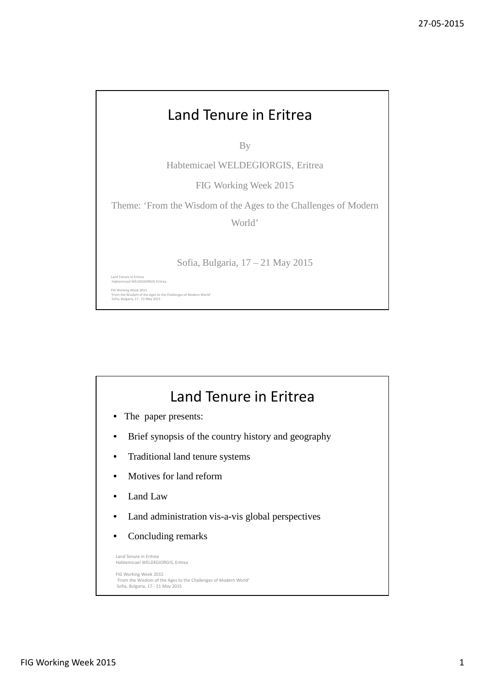## Land Tenure in Eritrea By Habtemicael WELDEGIORGIS, Eritrea FIG Working Week 2015 Theme: 'From the Wisdom of the Ages to the Challenges of Modern World' Sofia, Bulgaria, 17 – 21 May 2015 Land Tenure in Eritrea Habtemicael WELDEGIORGIS, Eritrea FIG Working Week 2015 'From the Wisdom of the Ages to the Challenges of Modern World' Sofia, Bulgaria, 17 - 21 May 2015

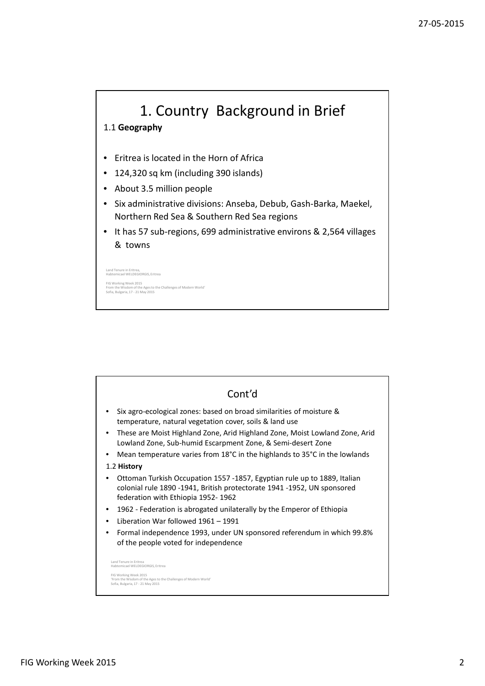

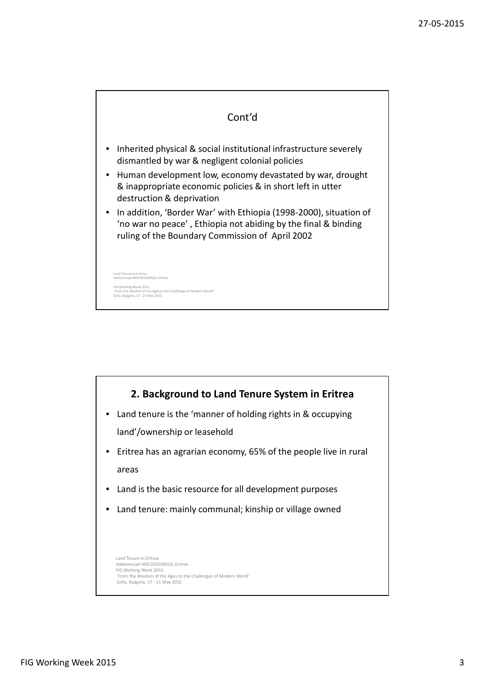

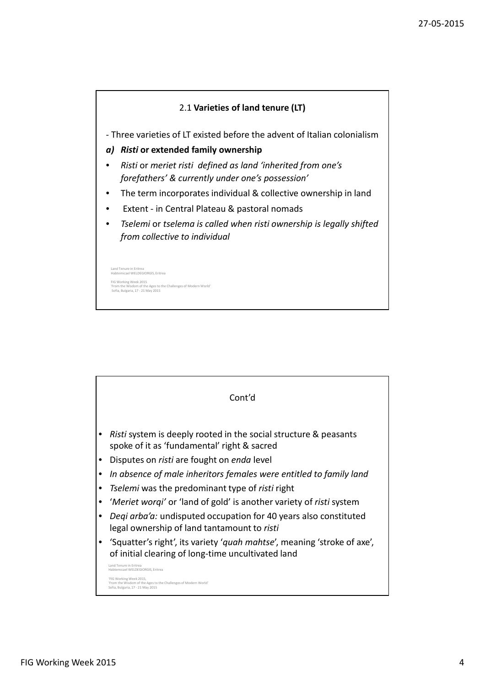

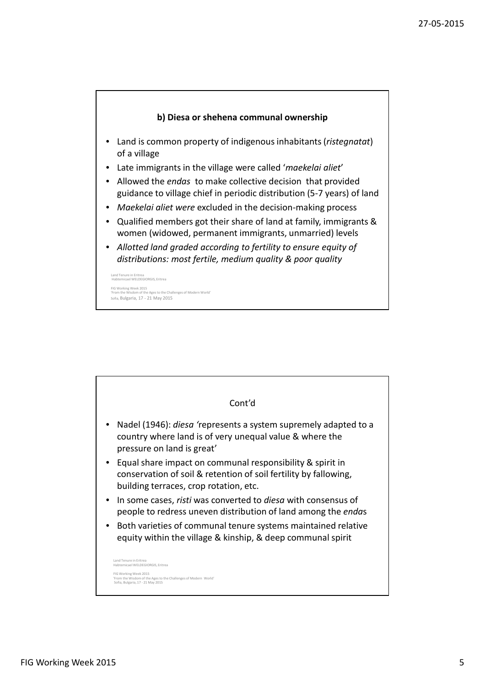

- Land is common property of indigenous inhabitants (*ristegnatat*) of a village
- Late immigrants in the village were called '*maekelai aliet*'
- Allowed the *endas* to make collective decision that provided guidance to village chief in periodic distribution (5-7 years) of land
- *Maekelai aliet were* excluded in the decision-making process
- Qualified members got their share of land at family, immigrants & women (widowed, permanent immigrants, unmarried) levels
- *Allotted land graded according to fertility to ensure equity of distributions: most fertile, medium quality & poor quality*

Habtemicael WELDEGIORGIS, Eritrea FIG Working Week 2015 enges of Modern World Sofia, Bulgaria, 17 - 21 May 2015

Land Tenure in Er

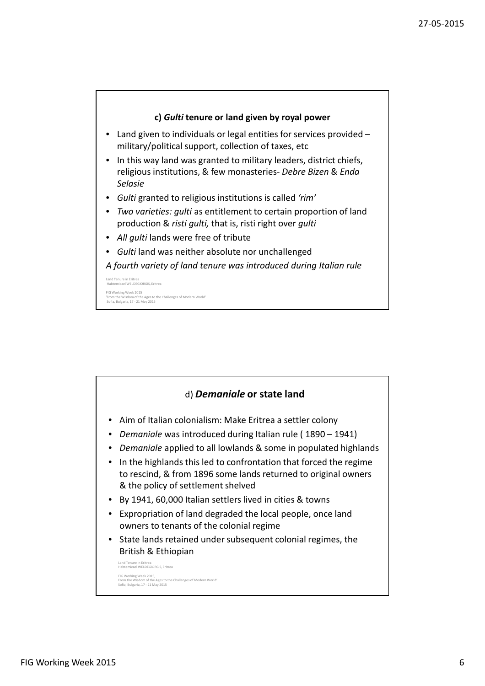

- Land given to individuals or legal entities for services provided military/political support, collection of taxes, etc
- In this way land was granted to military leaders, district chiefs, religious institutions, & few monasteries- *Debre Bizen* & *Enda Selasie*
- *Gulti* granted to religious institutions is called *'rim'*
- *Two varieties: gulti* as entitlement to certain proportion of land production & *risti gulti,* that is, risti right over *gulti*
- *All gulti* lands were free of tribute
- *Gulti* land was neither absolute nor unchallenged

*A fourth variety of land tenure was introduced during Italian rule*

Land Tenure in Eritrea Habtemicael WELDEGIORGIS, Eritrea FIG Working Week 2015 'From the Wisdom of the Ages to the Challenges of Modern World' Sofia, Bulgaria, 17 - 21 May 2015

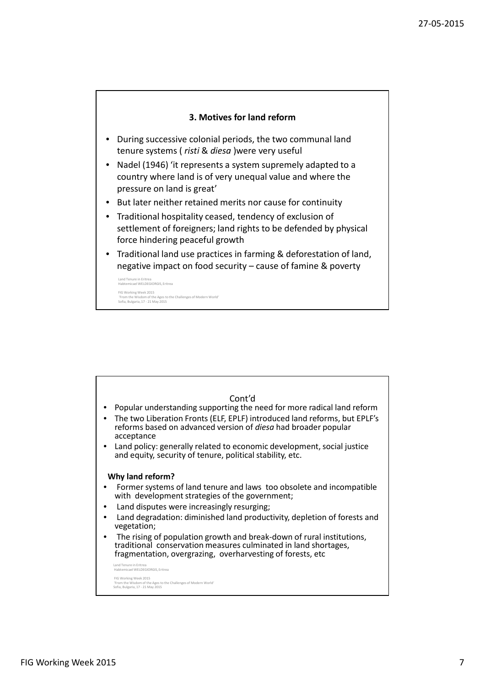## **3. Motives for land reform**

- During successive colonial periods, the two communal land tenure systems ( *risti* & *diesa* )were very useful
- Nadel (1946) 'it represents a system supremely adapted to a country where land is of very unequal value and where the pressure on land is great'
- But later neither retained merits nor cause for continuity
- Traditional hospitality ceased, tendency of exclusion of settlement of foreigners; land rights to be defended by physical force hindering peaceful growth
- Traditional land use practices in farming & deforestation of land, negative impact on food security – cause of famine & poverty

```
Land Tenure in Eritrea
Habtemicael WELDEGIORGIS, Eritrea
FIG Working Week 2015
'From the Wisdom of the Ages to the Challenges of Modern World'
Sofia, Bulgaria, 17 - 21 May 2015
```

| Cont'd<br>Popular understanding supporting the need for more radical land reform<br>The two Liberation Fronts (ELF, EPLF) introduced land reforms, but EPLF's<br>reforms based on advanced version of diesa had broader popular<br>acceptance<br>Land policy: generally related to economic development, social justice<br>and equity, security of tenure, political stability, etc.                                                                                                                                    |
|-------------------------------------------------------------------------------------------------------------------------------------------------------------------------------------------------------------------------------------------------------------------------------------------------------------------------------------------------------------------------------------------------------------------------------------------------------------------------------------------------------------------------|
| Why land reform?<br>Former systems of land tenure and laws too obsolete and incompatible<br>with development strategies of the government;<br>Land disputes were increasingly resurging;<br>Land degradation: diminished land productivity, depletion of forests and<br>vegetation;<br>The rising of population growth and break-down of rural institutions,<br>traditional conservation measures culminated in land shortages,<br>fragmentation, overgrazing, overharvesting of forests, etc<br>Land Tenure in Eritrea |
| Habtemicael WELDEGIORGIS, Eritrea<br>ELC Modeing Wook 2015                                                                                                                                                                                                                                                                                                                                                                                                                                                              |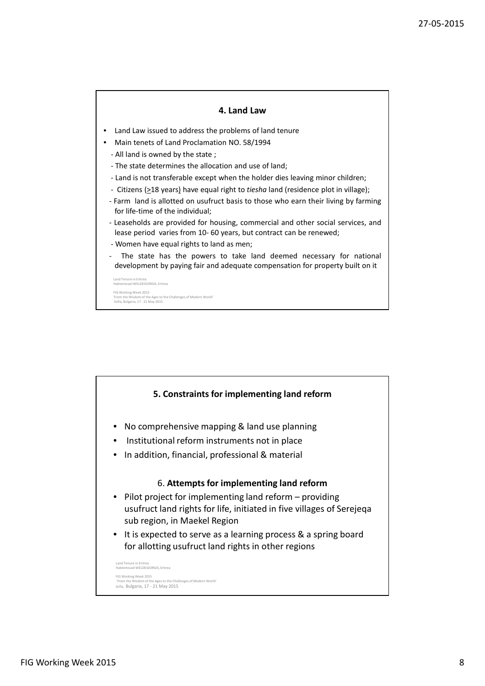## **4. Land Law**

- Land Law issued to address the problems of land tenure
- Main tenets of Land Proclamation NO. 58/1994
	- All land is owned by the state ;
	- The state determines the allocation and use of land;
	- Land is not transferable except when the holder dies leaving minor children;
	- Citizens ( $\geq$ 18 years) have equal right to *tiesha* land (residence plot in village);
	- Farm land is allotted on usufruct basis to those who earn their living by farming for life-time of the individual;
	- Leaseholds are provided for housing, commercial and other social services, and lease period varies from 10- 60 years, but contract can be renewed;
	- Women have equal rights to land as men;
	- The state has the powers to take land deemed necessary for national development by paying fair and adequate compensation for property built on it

Land Tenure in Eritrea Habtemicael WELDEGIORGIS, Eritrea FIG Working Week 2015 'From the Wisdom of the Ages to the Challenges of Modern World' rrom the wisdom of the Ages to<br>Sofia, Bulgaria, 17 - 21 May 2015

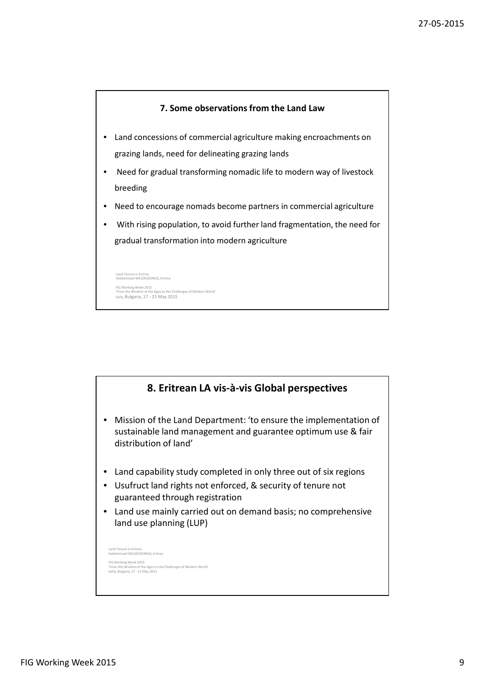

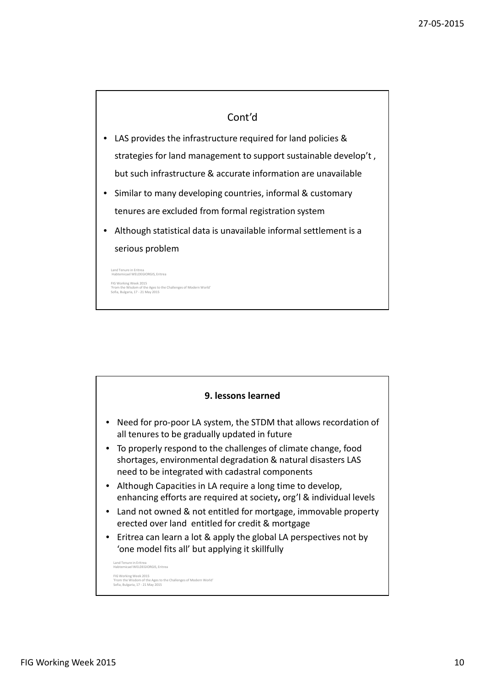